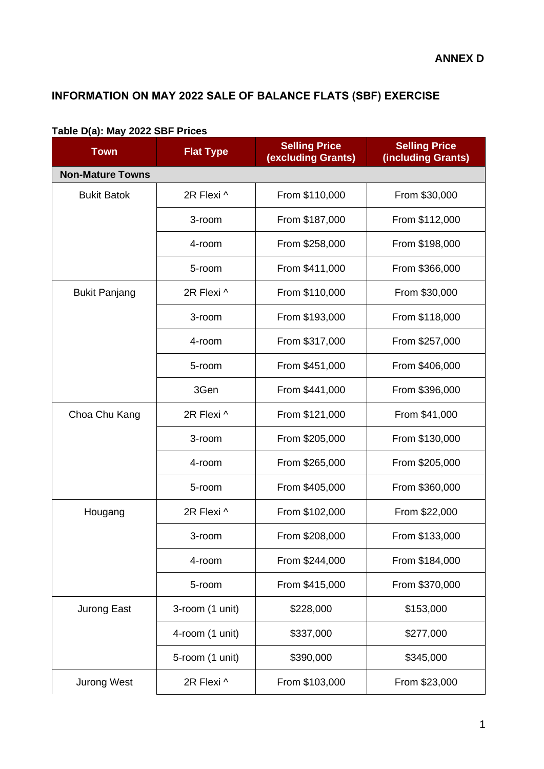## **INFORMATION ON MAY 2022 SALE OF BALANCE FLATS (SBF) EXERCISE**

| Table D(a): May ZUZZ ODF PIICES<br><b>Town</b> | <b>Flat Type</b> | <b>Selling Price</b><br>(excluding Grants) | <b>Selling Price</b><br>(including Grants) |  |
|------------------------------------------------|------------------|--------------------------------------------|--------------------------------------------|--|
| <b>Non-Mature Towns</b>                        |                  |                                            |                                            |  |
| <b>Bukit Batok</b>                             | 2R Flexi ^       | From \$110,000                             | From \$30,000                              |  |
|                                                | 3-room           | From \$187,000                             | From \$112,000                             |  |
|                                                | 4-room           | From \$258,000                             | From \$198,000                             |  |
|                                                | 5-room           | From \$411,000                             | From \$366,000                             |  |
| <b>Bukit Panjang</b>                           | 2R Flexi ^       | From \$110,000                             | From \$30,000                              |  |
|                                                | 3-room           | From \$193,000                             | From \$118,000                             |  |
|                                                | 4-room           | From \$317,000                             | From \$257,000                             |  |
|                                                | 5-room           | From \$451,000                             | From \$406,000                             |  |
|                                                | 3Gen             | From \$441,000                             | From \$396,000                             |  |
| Choa Chu Kang                                  | 2R Flexi ^       | From \$121,000                             | From \$41,000                              |  |
|                                                | 3-room           | From \$205,000                             | From \$130,000                             |  |
|                                                | 4-room           | From \$265,000                             | From \$205,000                             |  |
|                                                | 5-room           | From \$405,000                             | From \$360,000                             |  |
| Hougang                                        | 2R Flexi ^       | From \$102,000                             | From \$22,000                              |  |
|                                                | 3-room           | From \$208,000                             | From \$133,000                             |  |
|                                                | 4-room           | From \$244,000                             | From \$184,000                             |  |
|                                                | 5-room           | From \$415,000                             | From \$370,000                             |  |
| Jurong East                                    | 3-room (1 unit)  | \$228,000                                  | \$153,000                                  |  |
|                                                | 4-room (1 unit)  | \$337,000                                  | \$277,000                                  |  |
|                                                | 5-room (1 unit)  | \$390,000                                  | \$345,000                                  |  |
| <b>Jurong West</b>                             | 2R Flexi ^       | From \$103,000                             | From \$23,000                              |  |

## **Table D(a): May 2022 SBF Prices**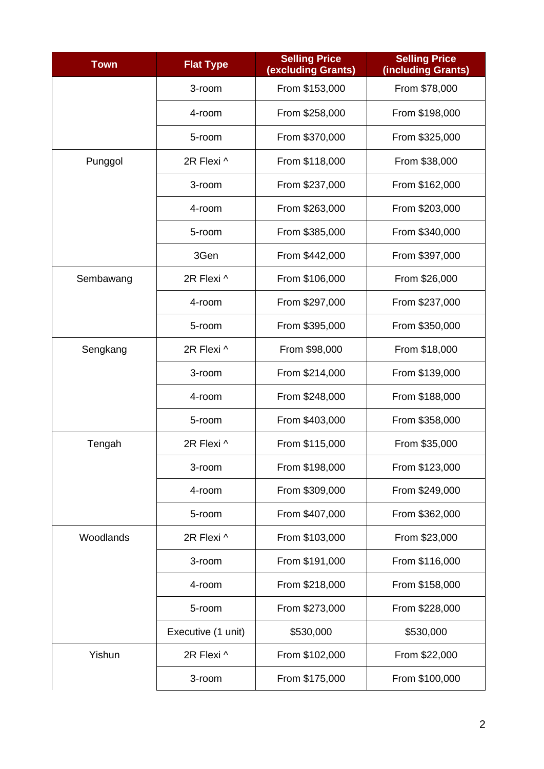| <b>Town</b> | <b>Flat Type</b>   | <b>Selling Price</b><br>(excluding Grants) | <b>Selling Price</b><br>(including Grants) |  |
|-------------|--------------------|--------------------------------------------|--------------------------------------------|--|
|             | 3-room             | From \$153,000                             | From \$78,000                              |  |
|             | 4-room             | From \$258,000                             | From \$198,000                             |  |
|             | 5-room             | From \$370,000                             | From \$325,000                             |  |
| Punggol     | 2R Flexi ^         | From \$118,000                             | From \$38,000                              |  |
|             | 3-room             | From \$237,000                             | From \$162,000                             |  |
|             | 4-room             | From \$263,000                             | From \$203,000                             |  |
|             | 5-room             | From \$385,000                             | From \$340,000                             |  |
|             | 3Gen               | From \$442,000                             | From \$397,000                             |  |
| Sembawang   | 2R Flexi ^         | From \$106,000                             | From \$26,000                              |  |
|             | 4-room             | From \$297,000                             | From \$237,000                             |  |
|             | 5-room             | From \$395,000                             | From \$350,000                             |  |
| Sengkang    | 2R Flexi ^         | From \$98,000                              | From \$18,000                              |  |
|             | 3-room             | From \$214,000                             | From \$139,000                             |  |
|             | 4-room             | From \$248,000                             | From \$188,000                             |  |
|             | 5-room             | From \$403,000                             | From \$358,000                             |  |
| Tengah      | 2R Flexi ^         | From \$115,000                             | From \$35,000                              |  |
|             | 3-room             | From \$198,000                             | From \$123,000                             |  |
|             | 4-room             | From \$309,000                             | From \$249,000                             |  |
|             | 5-room             | From \$407,000                             | From \$362,000                             |  |
| Woodlands   | 2R Flexi ^         | From \$103,000                             | From \$23,000                              |  |
|             | 3-room             | From \$191,000                             | From \$116,000                             |  |
|             | 4-room             | From \$218,000                             | From \$158,000                             |  |
|             | 5-room             | From \$273,000                             | From \$228,000                             |  |
|             | Executive (1 unit) | \$530,000                                  | \$530,000                                  |  |
| Yishun      | 2R Flexi ^         | From \$102,000                             | From \$22,000                              |  |
|             | 3-room             | From \$175,000                             | From \$100,000                             |  |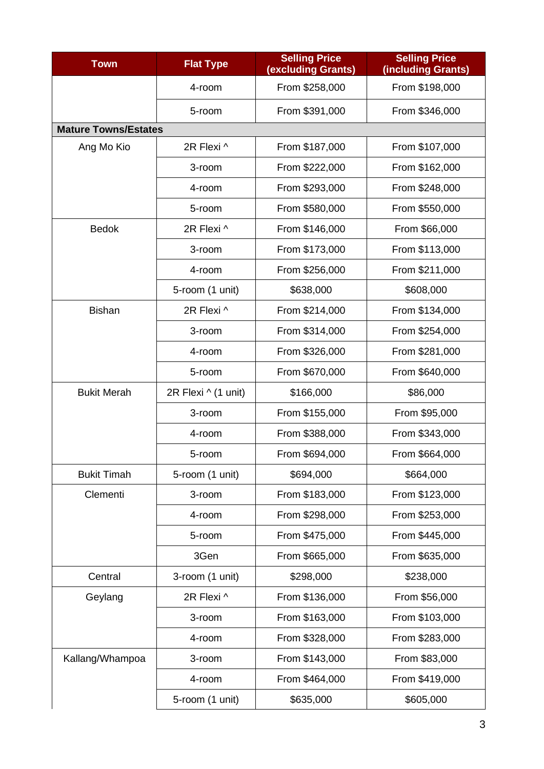| <b>Town</b>                 | <b>Flat Type</b>    | <b>Selling Price</b><br>(excluding Grants) | <b>Selling Price</b><br>(including Grants) |  |
|-----------------------------|---------------------|--------------------------------------------|--------------------------------------------|--|
|                             | 4-room              | From \$258,000                             | From \$198,000                             |  |
|                             | 5-room              | From \$391,000                             | From \$346,000                             |  |
| <b>Mature Towns/Estates</b> |                     |                                            |                                            |  |
| Ang Mo Kio                  | 2R Flexi ^          | From \$187,000                             | From \$107,000                             |  |
|                             | 3-room              | From \$222,000                             | From \$162,000                             |  |
|                             | 4-room              | From \$293,000                             | From \$248,000                             |  |
|                             | 5-room              | From \$580,000                             | From \$550,000                             |  |
| <b>Bedok</b>                | 2R Flexi ^          | From \$146,000                             | From \$66,000                              |  |
|                             | 3-room              | From \$173,000                             | From \$113,000                             |  |
|                             | 4-room              | From \$256,000                             | From \$211,000                             |  |
|                             | 5-room (1 unit)     | \$638,000                                  | \$608,000                                  |  |
| <b>Bishan</b>               | 2R Flexi ^          | From \$214,000                             | From \$134,000                             |  |
|                             | 3-room              | From \$314,000                             | From \$254,000                             |  |
|                             | 4-room              | From \$326,000                             | From \$281,000                             |  |
|                             | 5-room              | From \$670,000                             | From \$640,000                             |  |
| <b>Bukit Merah</b>          | 2R Flexi ^ (1 unit) | \$166,000                                  | \$86,000                                   |  |
|                             | 3-room              | From \$155,000                             | From \$95,000                              |  |
|                             | 4-room              | From \$388,000                             | From \$343,000                             |  |
|                             | 5-room              | From \$694,000                             | From \$664,000                             |  |
| <b>Bukit Timah</b>          | 5-room (1 unit)     | \$694,000                                  | \$664,000                                  |  |
| Clementi                    | 3-room              | From \$183,000                             | From \$123,000                             |  |
|                             | 4-room              | From \$298,000                             | From \$253,000                             |  |
|                             | 5-room              | From \$475,000                             | From \$445,000                             |  |
|                             | 3Gen                | From \$665,000                             | From \$635,000                             |  |
| Central                     | 3-room (1 unit)     | \$298,000                                  | \$238,000                                  |  |
| Geylang                     | 2R Flexi ^          | From \$136,000                             | From \$56,000                              |  |
|                             | 3-room              | From \$163,000                             | From \$103,000                             |  |
|                             | 4-room              | From \$328,000                             | From \$283,000                             |  |
| Kallang/Whampoa             | 3-room              | From \$143,000                             | From \$83,000                              |  |
|                             | 4-room              | From \$464,000                             | From \$419,000                             |  |
|                             | 5-room (1 unit)     | \$635,000                                  | \$605,000                                  |  |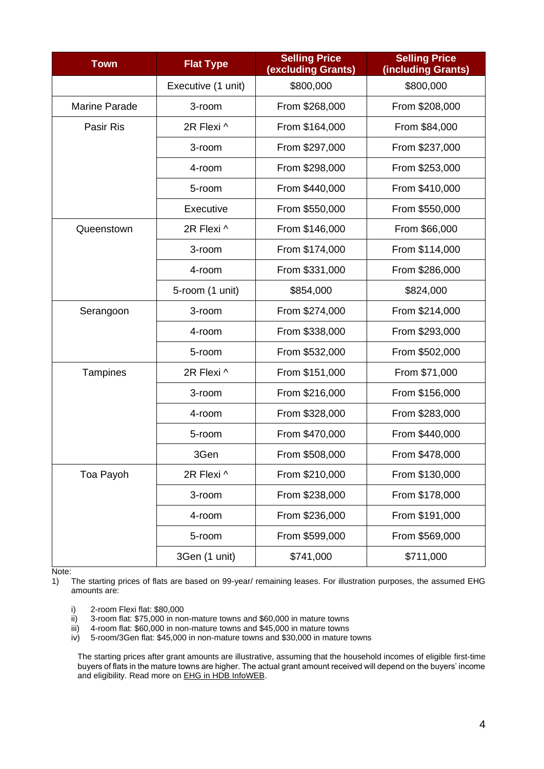| <b>Town</b>          | <b>Flat Type</b>   | <b>Selling Price</b><br>(excluding Grants) | <b>Selling Price</b><br>(including Grants) |  |
|----------------------|--------------------|--------------------------------------------|--------------------------------------------|--|
|                      | Executive (1 unit) | \$800,000                                  | \$800,000                                  |  |
| <b>Marine Parade</b> | 3-room             | From \$268,000                             | From \$208,000                             |  |
| Pasir Ris            | 2R Flexi ^         | From \$164,000                             | From \$84,000                              |  |
|                      | 3-room             | From \$297,000                             | From \$237,000                             |  |
|                      | 4-room             | From \$298,000                             | From \$253,000                             |  |
|                      | 5-room             | From \$440,000                             | From \$410,000                             |  |
|                      | Executive          | From \$550,000                             | From \$550,000                             |  |
| Queenstown           | 2R Flexi ^         | From \$146,000                             | From \$66,000                              |  |
|                      | 3-room             | From \$174,000                             | From \$114,000                             |  |
|                      | 4-room             | From \$331,000                             | From \$286,000                             |  |
|                      | 5-room (1 unit)    | \$854,000                                  | \$824,000                                  |  |
| Serangoon            | 3-room             | From \$274,000                             | From \$214,000                             |  |
|                      | 4-room             | From \$338,000                             | From \$293,000                             |  |
|                      | 5-room             | From \$532,000                             | From \$502,000                             |  |
| Tampines             | 2R Flexi ^         | From \$151,000                             | From \$71,000                              |  |
|                      | 3-room             | From \$216,000                             | From \$156,000                             |  |
|                      | 4-room             | From \$328,000                             | From \$283,000                             |  |
|                      | 5-room             | From \$470,000                             | From \$440,000                             |  |
|                      | 3Gen               | From \$508,000                             | From \$478,000                             |  |
| Toa Payoh            | 2R Flexi ^         | From \$210,000                             | From \$130,000                             |  |
|                      | 3-room             | From \$238,000                             | From \$178,000                             |  |
|                      | 4-room             | From \$236,000                             | From \$191,000                             |  |
|                      | 5-room             | From \$599,000                             | From \$569,000                             |  |
|                      | 3Gen (1 unit)      | \$741,000                                  | \$711,000                                  |  |

Note:<br>1)

1) The starting prices of flats are based on 99-year/ remaining leases. For illustration purposes, the assumed EHG amounts are:

- i) 2-room Flexi flat: \$80,000<br>ii) 3-room flat: \$75,000 in nor
- ii) 3-room flat: \$75,000 in non-mature towns and \$60,000 in mature towns iii) 4-room flat: \$60,000 in non-mature towns
- 4-room flat: \$60,000 in non-mature towns and \$45,000 in mature towns
- iv) 5-room/3Gen flat: \$45,000 in non-mature towns and \$30,000 in mature towns

The starting prices after grant amounts are illustrative, assuming that the household incomes of eligible first-time buyers of flats in the mature towns are higher. The actual grant amount received will depend on the buyers' income and eligibility. Read more on **EHG** in HDB InfoWEB.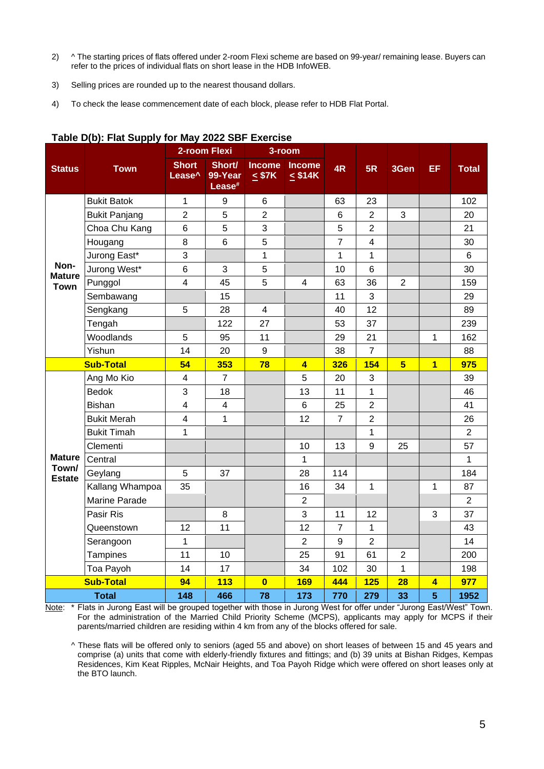- 2) ^ The starting prices of flats offered under 2-room Flexi scheme are based on 99-year/ remaining lease. Buyers can refer to the prices of individual flats on short lease in the HDB InfoWEB.
- 3) Selling prices are rounded up to the nearest thousand dollars.
- 4) To check the lease commencement date of each block, please refer to HDB Flat Portal.

|                        |                      | 2-room Flexi                       |                                         | 3-room                       |                               |                 |                |                 |                         |                |
|------------------------|----------------------|------------------------------------|-----------------------------------------|------------------------------|-------------------------------|-----------------|----------------|-----------------|-------------------------|----------------|
| <b>Status</b>          | <b>Town</b>          | <b>Short</b><br>Lease <sup>^</sup> | Short/<br>99-Year<br>Lease <sup>#</sup> | <b>Income</b><br>$\leq$ \$7K | <b>Income</b><br>$\leq$ \$14K | 4R              | 5R             | 3Gen            | EF.                     | <b>Total</b>   |
|                        | <b>Bukit Batok</b>   | 1                                  | 9                                       | 6                            |                               | 63              | 23             |                 |                         | 102            |
|                        | <b>Bukit Panjang</b> | $\overline{2}$                     | 5                                       | $\overline{2}$               |                               | $6\phantom{1}6$ | $\overline{2}$ | 3               |                         | 20             |
|                        | Choa Chu Kang        | $6\phantom{1}$                     | 5                                       | 3                            |                               | 5               | $\overline{2}$ |                 |                         | 21             |
|                        | Hougang              | 8                                  | $6\phantom{1}6$                         | 5                            |                               | $\overline{7}$  | $\overline{4}$ |                 |                         | 30             |
|                        | Jurong East*         | 3                                  |                                         | 1                            |                               | 1               | 1              |                 |                         | $6\phantom{a}$ |
| Non-<br><b>Mature</b>  | Jurong West*         | 6                                  | $\mathfrak{S}$                          | 5                            |                               | 10              | $6\phantom{a}$ |                 |                         | 30             |
| <b>Town</b>            | Punggol              | $\overline{\mathbf{4}}$            | 45                                      | 5                            | 4                             | 63              | 36             | $\overline{2}$  |                         | 159            |
|                        | Sembawang            |                                    | 15                                      |                              |                               | 11              | 3              |                 |                         | 29             |
|                        | Sengkang             | 5                                  | 28                                      | $\overline{\mathbf{4}}$      |                               | 40              | 12             |                 |                         | 89             |
|                        | Tengah               |                                    | 122                                     | 27                           |                               | 53              | 37             |                 |                         | 239            |
|                        | Woodlands            | 5                                  | 95                                      | 11                           |                               | 29              | 21             |                 | $\mathbf{1}$            | 162            |
|                        | Yishun               | 14                                 | 20                                      | 9                            |                               | 38              | $\overline{7}$ |                 |                         | 88             |
|                        | <b>Sub-Total</b>     | 54                                 | 353                                     | 78                           | $\overline{\mathbf{A}}$       | <b>326</b>      | 154            | $5\overline{)}$ | $\overline{\mathbf{1}}$ | 975            |
|                        | Ang Mo Kio           | 4                                  | $\overline{7}$                          |                              | 5                             | 20              | 3              |                 |                         | 39             |
|                        | <b>Bedok</b>         | 3                                  | 18                                      |                              | 13                            | 11              | $\mathbf{1}$   |                 |                         | 46             |
|                        | <b>Bishan</b>        | $\overline{\mathbf{4}}$            | 4                                       |                              | 6                             | 25              | $\overline{2}$ |                 |                         | 41             |
|                        | <b>Bukit Merah</b>   | $\overline{\mathbf{4}}$            | $\mathbf 1$                             |                              | 12                            | $\overline{7}$  | $\overline{2}$ |                 |                         | 26             |
|                        | <b>Bukit Timah</b>   | 1                                  |                                         |                              |                               |                 | 1              |                 |                         | $\overline{2}$ |
|                        | Clementi             |                                    |                                         |                              | 10                            | 13              | 9              | 25              |                         | 57             |
| <b>Mature</b><br>Town/ | Central              |                                    |                                         |                              | $\mathbf{1}$                  |                 |                |                 |                         | $\mathbf{1}$   |
| <b>Estate</b>          | Geylang              | 5                                  | 37                                      |                              | 28                            | 114             |                |                 |                         | 184            |
|                        | Kallang Whampoa      | 35                                 |                                         |                              | 16                            | 34              | $\mathbf{1}$   |                 | 1                       | 87             |
|                        | <b>Marine Parade</b> |                                    |                                         |                              | $\overline{c}$                |                 |                |                 |                         | $\overline{2}$ |
|                        | Pasir Ris            |                                    | 8                                       |                              | 3                             | 11              | 12             |                 | 3                       | 37             |
|                        | Queenstown           | 12                                 | 11                                      |                              | 12                            | $\overline{7}$  | $\mathbf{1}$   |                 |                         | 43             |
|                        | Serangoon            | $\mathbf{1}$                       |                                         |                              | $\overline{2}$                | 9               | $\overline{2}$ |                 |                         | 14             |
|                        | Tampines             | 11                                 | 10                                      |                              | 25                            | 91              | 61             | $\overline{2}$  |                         | 200            |
|                        | Toa Payoh            | 14                                 | 17                                      |                              | 34                            | 102             | 30             | 1               |                         | 198            |
|                        | <b>Sub-Total</b>     | 94                                 | 113                                     | $\overline{\mathbf{0}}$      | 169                           | 444             | 125            | 28              | $\overline{\mathbf{4}}$ | 977            |
|                        | <b>Total</b>         | 148                                | 466                                     | 78                           | 173                           | 770             | 279            | 33              | 5                       | 1952           |

## **Table D(b): Flat Supply for May 2022 SBF Exercise**

Note: \* Flats in Jurong East will be grouped together with those in Jurong West for offer under "Jurong East/West" Town. For the administration of the Married Child Priority Scheme (MCPS), applicants may apply for MCPS if their parents/married children are residing within 4 km from any of the blocks offered for sale.

^ These flats will be offered only to seniors (aged 55 and above) on short leases of between 15 and 45 years and comprise (a) units that come with elderly-friendly fixtures and fittings; and (b) 39 units at Bishan Ridges, Kempas Residences, Kim Keat Ripples, McNair Heights, and Toa Payoh Ridge which were offered on short leases only at the BTO launch.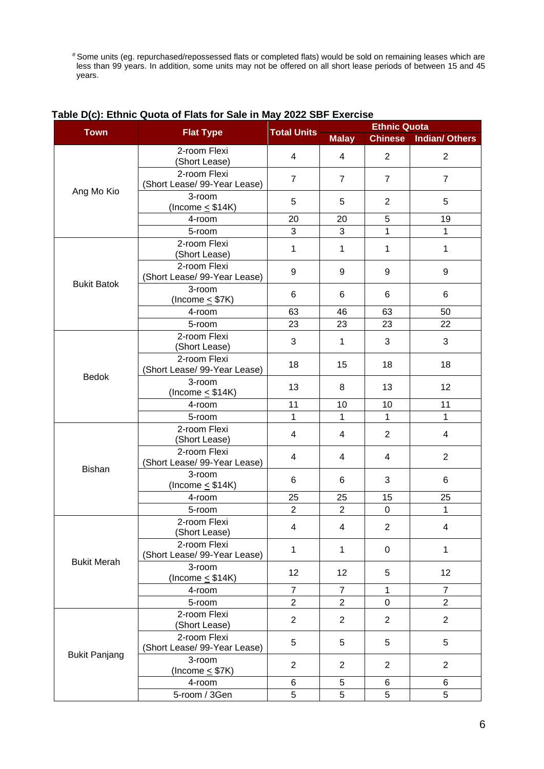# Some units (eg. repurchased/repossessed flats or completed flats) would be sold on remaining leases which are less than 99 years. In addition, some units may not be offered on all short lease periods of between 15 and 45 years.

|                      |                                              |                    | <b>Ethnic Quota</b> |                  |                       |  |  |
|----------------------|----------------------------------------------|--------------------|---------------------|------------------|-----------------------|--|--|
| <b>Town</b>          | <b>Flat Type</b>                             | <b>Total Units</b> | <b>Malay</b>        | <b>Chinese</b>   | <b>Indian/ Others</b> |  |  |
|                      | 2-room Flexi<br>(Short Lease)                | 4                  | $\overline{4}$      | $\overline{2}$   | $\overline{2}$        |  |  |
|                      | 2-room Flexi<br>(Short Lease/ 99-Year Lease) | $\overline{7}$     | $\overline{7}$      | $\overline{7}$   | $\overline{7}$        |  |  |
| Ang Mo Kio           | 3-room<br>(Income $\leq$ \$14K)              | 5                  | 5                   | $\overline{2}$   | 5                     |  |  |
|                      | 4-room                                       | 20                 | 20                  | 5                | 19                    |  |  |
|                      | 5-room                                       | 3                  | 3                   | $\mathbf{1}$     | 1                     |  |  |
|                      | 2-room Flexi<br>(Short Lease)                | 1                  | 1                   | 1                | 1                     |  |  |
| <b>Bukit Batok</b>   | 2-room Flexi<br>(Short Lease/ 99-Year Lease) | 9                  | 9                   | 9                | 9                     |  |  |
|                      | 3-room<br>(Income $\leq$ \$7K)               | 6                  | 6                   | 6                | 6                     |  |  |
|                      | 4-room                                       | 63                 | 46                  | 63               | 50                    |  |  |
|                      | 5-room                                       | 23                 | 23                  | 23               | 22                    |  |  |
|                      | 2-room Flexi<br>(Short Lease)                | 3                  | $\mathbf 1$         | 3                | 3                     |  |  |
|                      | 2-room Flexi<br>(Short Lease/ 99-Year Lease) | 18                 | 15                  | 18               | 18                    |  |  |
| <b>Bedok</b>         | 3-room<br>(Income $\leq$ \$14K)              | 13                 | 8                   | 13               | 12                    |  |  |
|                      | 4-room                                       | 11                 | 10                  | 10               | 11                    |  |  |
|                      | 5-room                                       | 1                  | 1                   | 1                | 1                     |  |  |
|                      | 2-room Flexi<br>(Short Lease)                | 4                  | $\overline{4}$      | $\overline{2}$   | $\overline{4}$        |  |  |
|                      | 2-room Flexi<br>(Short Lease/ 99-Year Lease) | 4                  | 4                   | 4                | $\overline{2}$        |  |  |
| <b>Bishan</b>        | 3-room<br>(Income $\leq$ \$14K)              | 6                  | 6                   | 3                | 6                     |  |  |
|                      | 4-room                                       | 25                 | 25                  | 15               | 25                    |  |  |
|                      | 5-room                                       | $\overline{2}$     | $\overline{2}$      | $\boldsymbol{0}$ | 1                     |  |  |
|                      | 2-room Flexi<br>(Short Lease)                | 4                  | 4                   | 2                | 4                     |  |  |
|                      | 2-room Flexi<br>(Short Lease/ 99-Year Lease) | 1                  | $\mathbf{1}$        | 0                | 1                     |  |  |
| <b>Bukit Merah</b>   | 3-room<br>(Income $\leq$ \$14K)              | 12                 | 12                  | 5                | 12                    |  |  |
|                      | 4-room                                       | $\overline{7}$     | $\overline{7}$      | $\mathbf{1}$     | $\overline{7}$        |  |  |
|                      | 5-room                                       | $\overline{2}$     | $\overline{2}$      | $\mathbf 0$      | $\overline{2}$        |  |  |
|                      | 2-room Flexi<br>(Short Lease)                | $\overline{2}$     | $\overline{2}$      | $\overline{2}$   | $\overline{2}$        |  |  |
|                      | 2-room Flexi<br>(Short Lease/ 99-Year Lease) | 5                  | 5                   | 5                | 5                     |  |  |
| <b>Bukit Panjang</b> | 3-room<br>(Income $\leq$ \$7K)               | $\overline{2}$     | $\overline{2}$      | $\mathbf{2}$     | 2                     |  |  |
|                      | 4-room                                       | 6                  | 5                   | 6                | 6                     |  |  |
|                      | 5-room / 3Gen                                | 5                  | 5                   | 5                | 5                     |  |  |

## **Table D(c): Ethnic Quota of Flats for Sale in May 2022 SBF Exercise**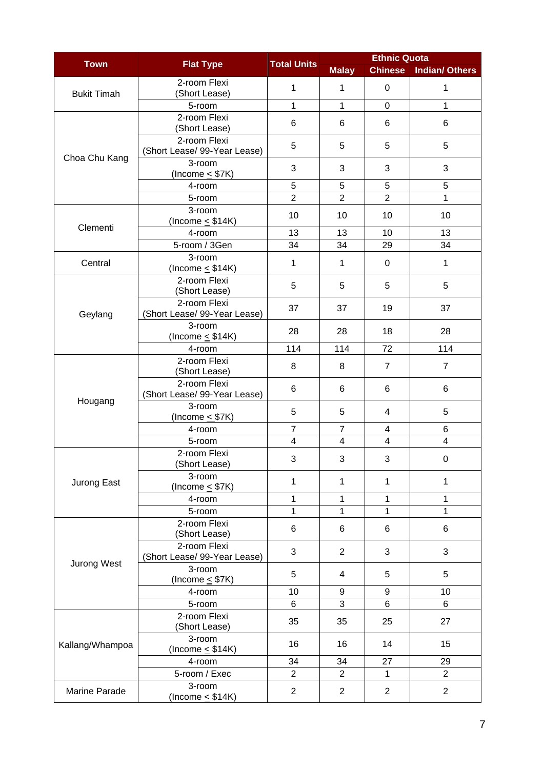| <b>Town</b>        | <b>Flat Type</b>                             | <b>Total Units</b> | <b>Ethnic Quota</b> |                |                         |  |  |
|--------------------|----------------------------------------------|--------------------|---------------------|----------------|-------------------------|--|--|
|                    |                                              |                    | <b>Malay</b>        | <b>Chinese</b> | <b>Indian/ Others</b>   |  |  |
| <b>Bukit Timah</b> | 2-room Flexi<br>(Short Lease)                | $\mathbf{1}$       | 1                   | $\mathbf 0$    | 1                       |  |  |
|                    | 5-room                                       | $\mathbf 1$        | $\mathbf{1}$        | $\mathbf 0$    | $\mathbf{1}$            |  |  |
|                    | 2-room Flexi<br>(Short Lease)                | 6                  | 6                   | 6              | 6                       |  |  |
|                    | 2-room Flexi<br>(Short Lease/ 99-Year Lease) | 5                  | 5                   | 5              | 5                       |  |  |
| Choa Chu Kang      | 3-room<br>(Income $\leq$ \$7K)               | 3                  | 3                   | 3              | 3                       |  |  |
|                    | 4-room                                       | 5                  | 5                   | 5              | 5                       |  |  |
|                    | 5-room                                       | $\overline{2}$     | $\overline{2}$      | $\overline{2}$ | 1                       |  |  |
| Clementi           | 3-room<br>(Income $\leq$ \$14K)              | 10                 | 10                  | 10             | 10                      |  |  |
|                    | 4-room                                       | 13                 | 13                  | 10             | 13                      |  |  |
|                    | 5-room / 3Gen                                | 34                 | 34                  | 29             | 34                      |  |  |
| Central            | 3-room<br>(Income $\leq$ \$14K)              | 1                  | 1                   | 0              | $\mathbf{1}$            |  |  |
|                    | 2-room Flexi<br>(Short Lease)                | 5                  | 5                   | 5              | 5                       |  |  |
| Geylang            | 2-room Flexi<br>(Short Lease/ 99-Year Lease) | 37                 | 37                  | 19             | 37                      |  |  |
|                    | 3-room<br>(Income $\leq$ \$14K)              | 28                 | 28                  | 18             | 28                      |  |  |
|                    | 4-room                                       | 114                | 114                 | 72             | 114                     |  |  |
|                    | 2-room Flexi<br>(Short Lease)                | 8                  | 8                   | $\overline{7}$ | $\overline{7}$          |  |  |
|                    | 2-room Flexi<br>(Short Lease/ 99-Year Lease) | 6                  | 6                   | 6              | 6                       |  |  |
| Hougang            | 3-room<br>(Income $\leq$ \$7K)               | 5                  | 5                   | 4              | 5                       |  |  |
|                    | 4-room                                       | $\overline{7}$     | $\overline{7}$      | 4              | 6                       |  |  |
|                    | 5-room                                       | 4                  | 4                   | 4              | $\overline{\mathbf{4}}$ |  |  |
|                    | 2-room Flexi<br>(Short Lease)                | 3                  | 3                   | 3              | $\Omega$                |  |  |
| Jurong East        | 3-room<br>(Income $\leq$ \$7K)               | $\mathbf{1}$       | 1                   | $\mathbf{1}$   | $\mathbf{1}$            |  |  |
|                    | 4-room                                       | 1                  | 1                   | 1              | 1                       |  |  |
|                    | 5-room                                       | 1                  | 1                   | 1              | 1                       |  |  |
|                    | 2-room Flexi<br>(Short Lease)                | 6                  | 6                   | 6              | 6                       |  |  |
|                    | 2-room Flexi<br>(Short Lease/ 99-Year Lease) | 3                  | $\overline{2}$      | 3              | 3                       |  |  |
| Jurong West        | 3-room<br>(Income $\leq$ \$7K)               | 5                  | 4                   | 5              | 5                       |  |  |
|                    | 4-room                                       | 10                 | 9                   | 9              | 10                      |  |  |
|                    | 5-room                                       | 6                  | 3                   | 6              | 6                       |  |  |
|                    | 2-room Flexi<br>(Short Lease)                | 35                 | 35                  | 25             | 27                      |  |  |
| Kallang/Whampoa    | 3-room<br>(Income $\leq$ \$14K)              | 16                 | 16                  | 14             | 15                      |  |  |
|                    | 4-room                                       | 34                 | 34                  | 27             | 29                      |  |  |
|                    | 5-room / Exec                                | $\overline{2}$     | $\overline{2}$      | 1              | $\overline{2}$          |  |  |
| Marine Parade      | 3-room<br>(Income $\leq$ \$14K)              | $\overline{2}$     | $\overline{2}$      | $\overline{2}$ | $\overline{2}$          |  |  |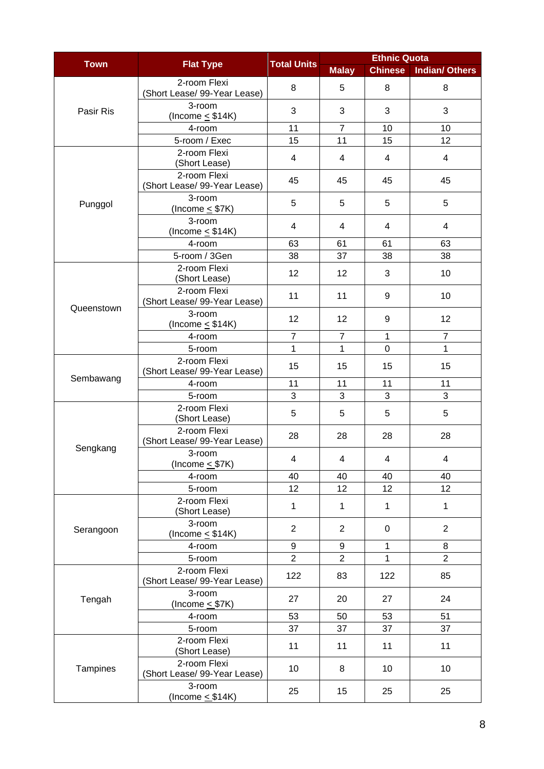| <b>Town</b> | <b>Flat Type</b>                             | <b>Total Units</b> | <b>Ethnic Quota</b> |                |                         |  |  |
|-------------|----------------------------------------------|--------------------|---------------------|----------------|-------------------------|--|--|
|             |                                              |                    | <b>Malay</b>        | <b>Chinese</b> | <b>Indian/ Others</b>   |  |  |
|             | 2-room Flexi<br>(Short Lease/ 99-Year Lease) | 8                  | 5                   | 8              | 8                       |  |  |
| Pasir Ris   | 3-room<br>(Income $\leq$ \$14K)              | 3                  | 3                   | 3              | 3                       |  |  |
|             | 4-room                                       | 11                 | $\overline{7}$      | 10             | 10                      |  |  |
|             | 5-room / Exec                                | 15                 | 11                  | 15             | 12                      |  |  |
|             | 2-room Flexi<br>(Short Lease)                | 4                  | 4                   | 4              | $\overline{4}$          |  |  |
|             | 2-room Flexi<br>(Short Lease/ 99-Year Lease) | 45                 | 45                  | 45             | 45                      |  |  |
| Punggol     | 3-room<br>(Income $\leq$ \$7K)               | 5                  | 5                   | 5              | 5                       |  |  |
|             | 3-room<br>(Income $\leq$ \$14K)              | 4                  | 4                   | 4              | $\overline{\mathbf{4}}$ |  |  |
|             | 4-room                                       | 63                 | 61                  | 61             | 63                      |  |  |
|             | 5-room / 3Gen                                | 38                 | 37                  | 38             | 38                      |  |  |
|             | 2-room Flexi<br>(Short Lease)                | 12                 | 12                  | 3              | 10                      |  |  |
|             | 2-room Flexi<br>(Short Lease/ 99-Year Lease) | 11                 | 11                  | 9              | 10                      |  |  |
| Queenstown  | 3-room<br>(Income $\leq$ \$14K)              | 12                 | 12                  | 9              | 12                      |  |  |
|             | 4-room                                       | $\overline{7}$     | $\overline{7}$      | 1              | $\overline{7}$          |  |  |
|             | 5-room                                       | $\mathbf{1}$       | 1                   | $\mathbf 0$    | $\mathbf{1}$            |  |  |
|             | 2-room Flexi<br>(Short Lease/ 99-Year Lease) | 15                 | 15                  | 15             | 15                      |  |  |
| Sembawang   | 4-room                                       | 11                 | 11                  | 11             | 11                      |  |  |
|             | 5-room                                       | 3                  | 3                   | 3              | 3                       |  |  |
|             | 2-room Flexi<br>(Short Lease)                | 5                  | 5                   | 5              | 5                       |  |  |
|             | 2-room Flexi<br>(Short Lease/ 99-Year Lease) | 28                 | 28                  | 28             | 28                      |  |  |
| Sengkang    | 3-room<br>(Income $\leq$ \$7K)               | 4                  | $\overline{4}$      | 4              | 4                       |  |  |
|             | 4-room                                       | 40                 | 40                  | 40             | 40                      |  |  |
|             | 5-room                                       | 12                 | 12                  | 12             | 12                      |  |  |
|             | 2-room Flexi<br>(Short Lease)                | $\mathbf{1}$       | 1                   | $\mathbf 1$    | $\mathbf 1$             |  |  |
| Serangoon   | 3-room<br>(Income $\leq$ \$14K)              | $\overline{2}$     | $\overline{2}$      | 0              | $\overline{2}$          |  |  |
|             | 4-room                                       | 9                  | 9                   | 1              | 8                       |  |  |
|             | 5-room                                       | $\overline{2}$     | $\overline{2}$      | 1              | $\overline{2}$          |  |  |
|             | 2-room Flexi<br>(Short Lease/ 99-Year Lease) | 122                | 83                  | 122            | 85                      |  |  |
| Tengah      | 3-room<br>(Income $\leq$ \$7K)               | 27                 | 20                  | 27             | 24                      |  |  |
|             | 4-room                                       | 53                 | 50                  | 53             | 51                      |  |  |
|             | 5-room                                       | 37                 | 37                  | 37             | 37                      |  |  |
|             | 2-room Flexi<br>(Short Lease)                | 11                 | 11                  | 11             | 11                      |  |  |
| Tampines    | 2-room Flexi<br>(Short Lease/ 99-Year Lease) | 10                 | 8                   | 10             | 10                      |  |  |
|             | 3-room<br>(Income $\leq$ \$14K)              | 25                 | 15                  | 25             | 25                      |  |  |